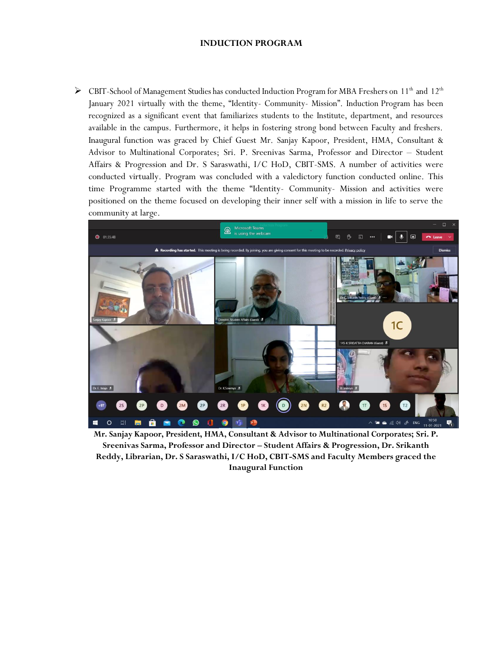## **INDUCTION PROGRAM**

> CBIT-School of Management Studies has conducted Induction Program for MBA Freshers on 11<sup>th</sup> and 12<sup>th</sup> January 2021 virtually with the theme, "Identity- Community- Mission". Induction Program has been recognized as a significant event that familiarizes students to the Institute, department, and resources available in the campus. Furthermore, it helps in fostering strong bond between Faculty and freshers. Inaugural function was graced by Chief Guest Mr. Sanjay Kapoor, President, HMA, Consultant & Advisor to Multinational Corporates; Sri. P. Sreenivas Sarma, Professor and Director – Student Affairs & Progression and Dr. S Saraswathi, I/C HoD, CBIT-SMS. A number of activities were conducted virtually. Program was concluded with a valedictory function conducted online. This time Programme started with the theme "Identity- Community- Mission and activities were positioned on the theme focused on developing their inner self with a mission in life to serve the community at large.



**Mr. Sanjay Kapoor, President, HMA, Consultant & Advisor to Multinational Corporates; Sri. P. Sreenivas Sarma, Professor and Director – Student Affairs & Progression, Dr. Srikanth Reddy, Librarian, Dr. S Saraswathi, I/C HoD, CBIT-SMS and Faculty Members graced the Inaugural Function**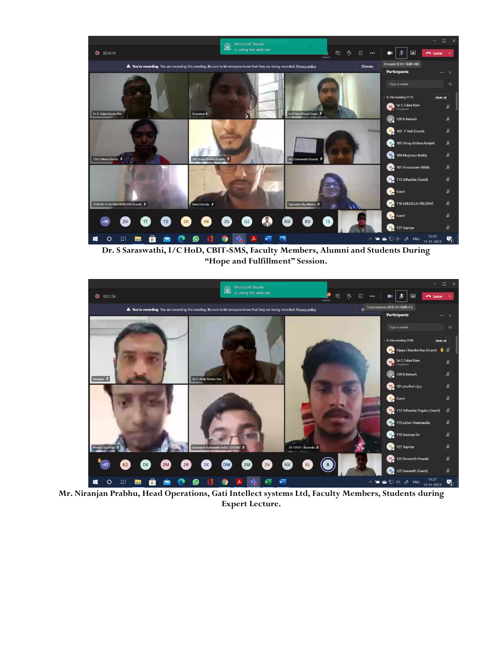

**Dr. S Saraswathi, I/C HoD, CBIT-SMS, Faculty Members, Alumni and Students During "Hope and Fulfillment" Session.**



**Mr. Niranjan Prabhu, Head Operations, Gati Intellect systems Ltd, Faculty Members, Students during Expert Lecture.**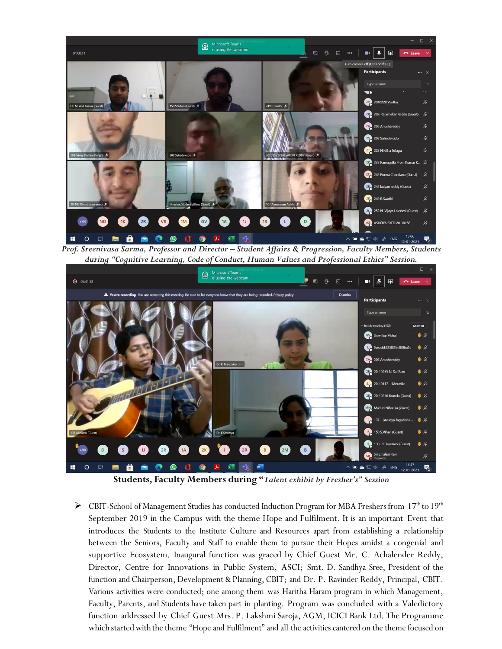

*Prof. Sreenivasa Sarma, Professor and Director – Student Affairs & Progression, Faculty Members, Students during "Cognitive Learning, Code of Conduct, Human Values and Professional Ethics" Session.*



**Students, Faculty Members during "***Talent exhibit by Fresher's" Session*

EBIT-School of Management Studies has conducted Induction Program for MBA Freshers from  $17<sup>th</sup>$  to  $19<sup>th</sup>$ September 2019 in the Campus with the theme Hope and Fulfilment. It is an important Event that introduces the Students to the Institute Culture and Resources apart from establishing a relationship between the Seniors, Faculty and Staff to enable them to pursue their Hopes amidst a congenial and supportive Ecosystem. Inaugural function was graced by Chief Guest Mr. C. Achalender Reddy, Director, Centre for Innovations in Public System, ASCI; Smt. D. Sandhya Sree, President of the function and Chairperson, Development & Planning, CBIT; and Dr. P. Ravinder Reddy, Principal, CBIT. Various activities were conducted; one among them was Haritha Haram program in which Management, Faculty, Parents, and Students have taken part in planting. Program was concluded with a Valedictory function addressed by Chief Guest Mrs. P. Lakshmi Saroja, AGM, ICICI Bank Ltd. The Programme which started with the theme "Hope and Fulfilment" and all the activities cantered on the theme focused on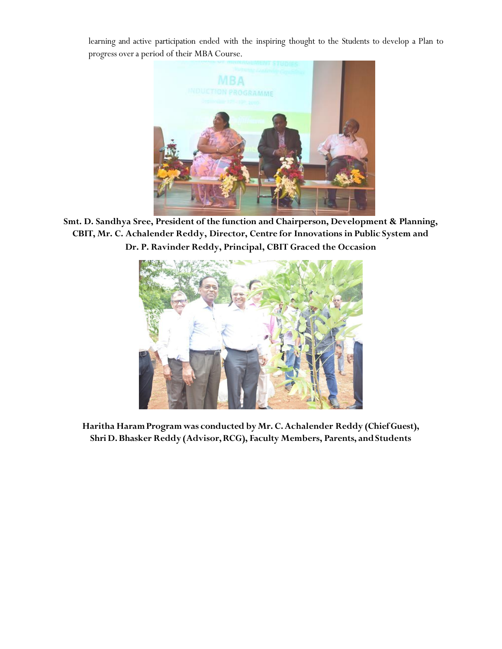learning and active participation ended with the inspiring thought to the Students to develop a Plan to progress overa period of their MBACourse.



**Smt. D. Sandhya Sree, President of the function and Chairperson, Development & Planning, CBIT, Mr. C. Achalender Reddy, Director, Centre for Innovations in Public System and Dr. P. Ravinder Reddy, Principal, CBIT Graced the Occasion**



**Haritha HaramProgram was conducted byMr. C.Achalender Reddy (ChiefGuest), Shri D.Bhasker Reddy (Advisor,RCG), Faculty Members, Parents, andStudents**